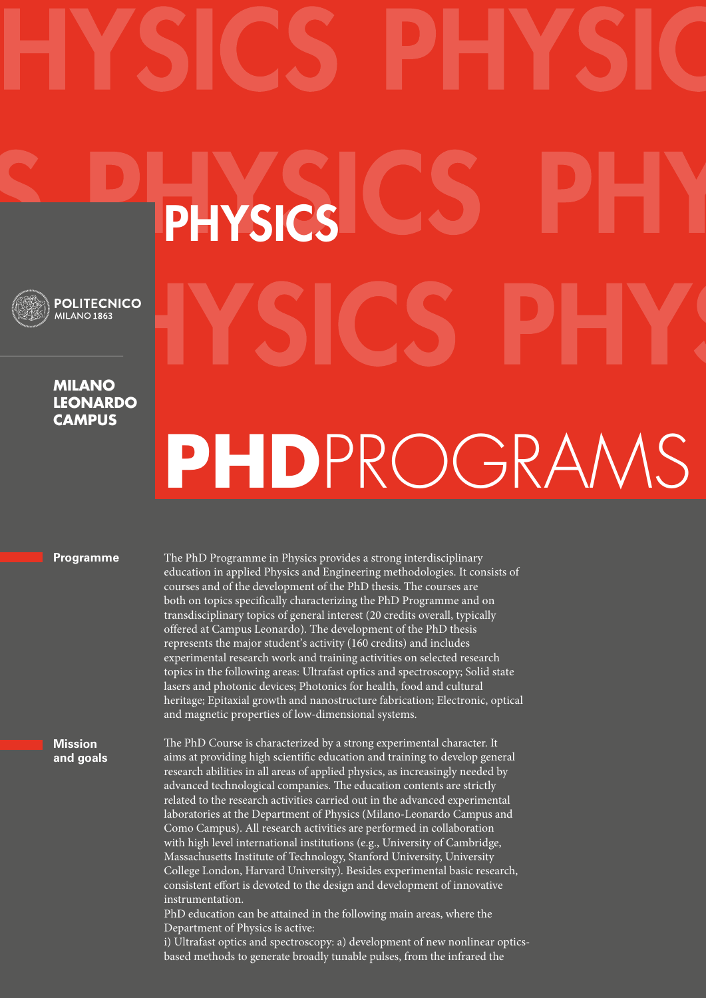## PHYSICS **POLITECNICO** MILANO 1863 **Milano leonardo campusPhD**ProgramS

## **Programme**

The PhD Programme in Physics provides a strong interdisciplinary education in applied Physics and Engineering methodologies. It consists of courses and of the development of the PhD thesis. The courses are both on topics specifically characterizing the PhD Programme and on transdisciplinary topics of general interest (20 credits overall, typically offered at Campus Leonardo). The development of the PhD thesis represents the major student's activity (160 credits) and includes experimental research work and training activities on selected research topics in the following areas: Ultrafast optics and spectroscopy; Solid state lasers and photonic devices; Photonics for health, food and cultural heritage; Epitaxial growth and nanostructure fabrication; Electronic, optical and magnetic properties of low-dimensional systems.

## **Mission and goals**

The PhD Course is characterized by a strong experimental character. It aims at providing high scientific education and training to develop general research abilities in all areas of applied physics, as increasingly needed by advanced technological companies. The education contents are strictly related to the research activities carried out in the advanced experimental laboratories at the Department of Physics (Milano-Leonardo Campus and Como Campus). All research activities are performed in collaboration with high level international institutions (e.g., University of Cambridge, Massachusetts Institute of Technology, Stanford University, University College London, Harvard University). Besides experimental basic research, consistent effort is devoted to the design and development of innovative instrumentation.

PhD education can be attained in the following main areas, where the Department of Physics is active:

i) Ultrafast optics and spectroscopy: a) development of new nonlinear opticsbased methods to generate broadly tunable pulses, from the infrared the